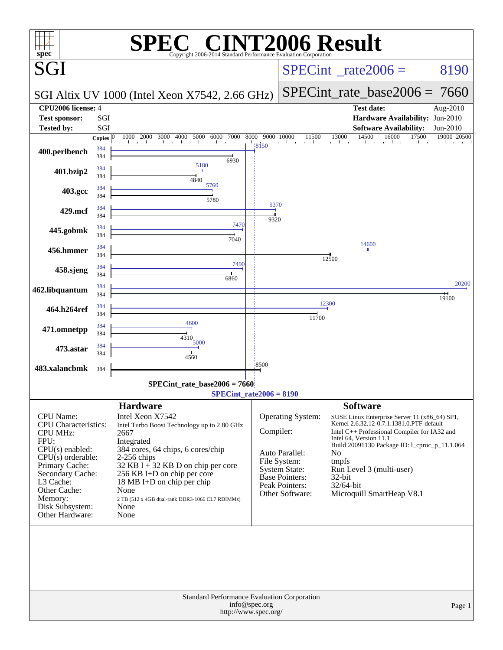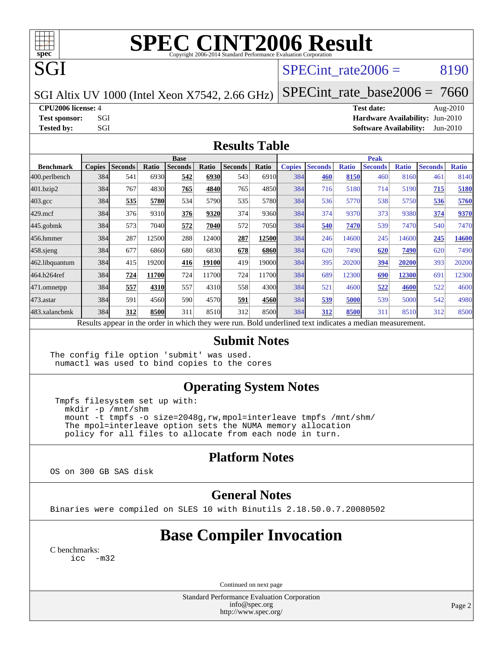

# **[SPEC CINT2006 Result](http://www.spec.org/auto/cpu2006/Docs/result-fields.html#SPECCINT2006Result)**

SPECint rate $2006 = 8190$ 

SGI Altix UV 1000 (Intel Xeon X7542, 2.66 GHz)

[SPECint\\_rate\\_base2006 =](http://www.spec.org/auto/cpu2006/Docs/result-fields.html#SPECintratebase2006) 7660

**[CPU2006 license:](http://www.spec.org/auto/cpu2006/Docs/result-fields.html#CPU2006license)** 4 **[Test date:](http://www.spec.org/auto/cpu2006/Docs/result-fields.html#Testdate)** Aug-2010

**[Test sponsor:](http://www.spec.org/auto/cpu2006/Docs/result-fields.html#Testsponsor)** SGI **[Hardware Availability:](http://www.spec.org/auto/cpu2006/Docs/result-fields.html#HardwareAvailability)** Jun-2010 **[Tested by:](http://www.spec.org/auto/cpu2006/Docs/result-fields.html#Testedby)** SGI SOL SERVICE SERVICE SERVICE 2010 SOFtware Availability: Jun-2010

#### **[Results Table](http://www.spec.org/auto/cpu2006/Docs/result-fields.html#ResultsTable)**

|                  | <b>Base</b>   |                |       |                |       |                |        |               | <b>Peak</b>    |              |                                                                                                          |              |                |              |  |
|------------------|---------------|----------------|-------|----------------|-------|----------------|--------|---------------|----------------|--------------|----------------------------------------------------------------------------------------------------------|--------------|----------------|--------------|--|
| <b>Benchmark</b> | <b>Copies</b> | <b>Seconds</b> | Ratio | <b>Seconds</b> | Ratio | <b>Seconds</b> | Ratio  | <b>Copies</b> | <b>Seconds</b> | <b>Ratio</b> | <b>Seconds</b>                                                                                           | <b>Ratio</b> | <b>Seconds</b> | <b>Ratio</b> |  |
| 400.perlbench    | 384           | 541            | 6930  | 542            | 6930  | 543            | 6910l  | 384           | 460            | 8150         | 460                                                                                                      | 8160         | 461            | 8140         |  |
| 401.bzip2        | 384           | 767            | 4830  | 765            | 4840  | 765            | 4850   | 384           | 716            | 5180         | 714                                                                                                      | 5190         | 715            | 5180         |  |
| $403.\text{gcc}$ | 384           | 535            | 5780  | 534            | 5790  | 535            | 5780   | 384           | 536            | 5770         | 538                                                                                                      | 5750         | 536            | 5760         |  |
| $429$ .mcf       | 384           | 376            | 9310  | 376            | 9320  | 374            | 9360   | 384           | 374            | 9370         | 373                                                                                                      | 9380         | 374            | 9370         |  |
| $445$ .gobm $k$  | 384           | 573            | 7040  | 572            | 7040  | 572            | 7050l  | 384           | 540            | 7470         | 539                                                                                                      | 7470         | 540            | 7470         |  |
| 456.hmmer        | 384           | 287            | 12500 | 288            | 12400 | 287            | 12500  | 384           | 246            | 14600        | 245                                                                                                      | 14600        | 245            | 14600        |  |
| $458$ .sjeng     | 384           | 677            | 6860  | 680            | 6830  | 678            | 6860   | 384           | 620            | 7490         | 620                                                                                                      | 7490         | 620            | 7490         |  |
| 462.libquantum   | 384           | 415            | 19200 | 416            | 19100 | 419            | 19000l | 384           | 395            | 20200        | 394                                                                                                      | 20200        | 393            | 20200        |  |
| 464.h264ref      | 384           | 724            | 11700 | 724            | 11700 | 724            | 11700  | 384           | 689            | 12300        | 690                                                                                                      | 12300        | 691            | 12300        |  |
| 471.omnetpp      | 384           | 557            | 4310  | 557            | 4310  | 558            | 4300   | 384           | 521            | 4600         | 522                                                                                                      | 4600         | 522            | 4600         |  |
| $473$ . astar    | 384           | 591            | 4560  | 590            | 4570  | 591            | 4560   | 384           | 539            | 5000         | 539                                                                                                      | 5000         | 542            | 4980         |  |
| 483.xalancbmk    | 384           | 312            | 8500  | 311            | 8510  | 312            | 8500   | 384           | 312            | 8500         | 311                                                                                                      | 8510         | 312            | 8500         |  |
|                  |               |                |       |                |       |                |        |               |                |              | Results appear in the order in which they were run. Bold underlined text indicates a median measurement. |              |                |              |  |

#### **[Submit Notes](http://www.spec.org/auto/cpu2006/Docs/result-fields.html#SubmitNotes)**

The config file option 'submit' was used. numactl was used to bind copies to the cores

#### **[Operating System Notes](http://www.spec.org/auto/cpu2006/Docs/result-fields.html#OperatingSystemNotes)**

 Tmpfs filesystem set up with: mkdir -p /mnt/shm mount -t tmpfs -o size=2048g,rw,mpol=interleave tmpfs /mnt/shm/ The mpol=interleave option sets the NUMA memory allocation policy for all files to allocate from each node in turn.

### **[Platform Notes](http://www.spec.org/auto/cpu2006/Docs/result-fields.html#PlatformNotes)**

OS on 300 GB SAS disk

#### **[General Notes](http://www.spec.org/auto/cpu2006/Docs/result-fields.html#GeneralNotes)**

Binaries were compiled on SLES 10 with Binutils 2.18.50.0.7.20080502

# **[Base Compiler Invocation](http://www.spec.org/auto/cpu2006/Docs/result-fields.html#BaseCompilerInvocation)**

[C benchmarks](http://www.spec.org/auto/cpu2006/Docs/result-fields.html#Cbenchmarks): [icc -m32](http://www.spec.org/cpu2006/results/res2010q3/cpu2006-20100815-12918.flags.html#user_CCbase_intel_icc_32bit_5ff4a39e364c98233615fdd38438c6f2)

Continued on next page

Standard Performance Evaluation Corporation [info@spec.org](mailto:info@spec.org) <http://www.spec.org/>

Page 2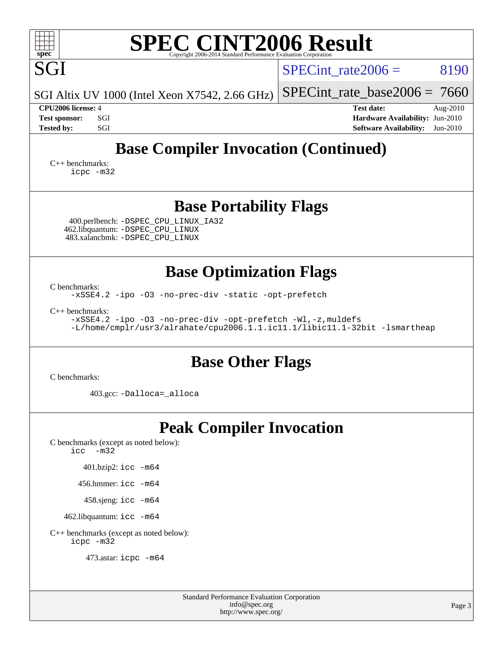| <b>SPEC CINT2006 Result</b><br>spec <sup>®</sup><br>Copyright 2006-2014 Standard Performance Evaluation Cornoration                                                                                                        |                                                                                                                 |  |  |  |  |  |  |  |
|----------------------------------------------------------------------------------------------------------------------------------------------------------------------------------------------------------------------------|-----------------------------------------------------------------------------------------------------------------|--|--|--|--|--|--|--|
| SGI                                                                                                                                                                                                                        | 8190<br>$SPECint$ rate $2006 =$                                                                                 |  |  |  |  |  |  |  |
| SGI Altix UV 1000 (Intel Xeon X7542, 2.66 GHz)                                                                                                                                                                             | $SPECint$ rate_base2006 = 7660                                                                                  |  |  |  |  |  |  |  |
| CPU <sub>2006</sub> license: 4<br>SGI<br><b>Test sponsor:</b><br>SGI<br><b>Tested by:</b>                                                                                                                                  | <b>Test date:</b><br>Aug-2010<br>Hardware Availability: Jun-2010<br><b>Software Availability:</b><br>$Jun-2010$ |  |  |  |  |  |  |  |
| <b>Base Compiler Invocation (Continued)</b><br>$C_{++}$ benchmarks:<br>icpc -m32                                                                                                                                           |                                                                                                                 |  |  |  |  |  |  |  |
| <b>Base Portability Flags</b><br>400.perlbench: -DSPEC_CPU_LINUX_IA32<br>462.libquantum: - DSPEC CPU LINUX<br>483.xalancbmk: - DSPEC CPU LINUX                                                                             |                                                                                                                 |  |  |  |  |  |  |  |
| <b>Base Optimization Flags</b><br>C benchmarks:                                                                                                                                                                            |                                                                                                                 |  |  |  |  |  |  |  |
| -xSSE4.2 -ipo -03 -no-prec-div -static -opt-prefetch<br>$C_{++}$ benchmarks:<br>-xSSE4.2 -ipo -03 -no-prec-div -opt-prefetch -Wl,-z, muldefs<br>-L/home/cmplr/usr3/alrahate/cpu2006.1.1.ic11.1/libic11.1-32bit -lsmartheap |                                                                                                                 |  |  |  |  |  |  |  |
| <b>Base Other Flags</b>                                                                                                                                                                                                    |                                                                                                                 |  |  |  |  |  |  |  |
| C benchmarks:<br>403.gcc: -Dalloca=_alloca                                                                                                                                                                                 |                                                                                                                 |  |  |  |  |  |  |  |
| <b>Peak Compiler Invocation</b><br>C benchmarks (except as noted below):<br>$-m32$<br>icc                                                                                                                                  |                                                                                                                 |  |  |  |  |  |  |  |
| 401.bzip2: icc -m64                                                                                                                                                                                                        |                                                                                                                 |  |  |  |  |  |  |  |
| $456$ hmmer: $\text{icc}$ -m64                                                                                                                                                                                             |                                                                                                                 |  |  |  |  |  |  |  |
| 458.sjeng: icc -m64                                                                                                                                                                                                        |                                                                                                                 |  |  |  |  |  |  |  |

462.libquantum: [icc -m64](http://www.spec.org/cpu2006/results/res2010q3/cpu2006-20100815-12918.flags.html#user_peakCCLD462_libquantum_intel_icc_64bit_bda6cc9af1fdbb0edc3795bac97ada53)

[C++ benchmarks \(except as noted below\):](http://www.spec.org/auto/cpu2006/Docs/result-fields.html#CXXbenchmarksexceptasnotedbelow) [icpc -m32](http://www.spec.org/cpu2006/results/res2010q3/cpu2006-20100815-12918.flags.html#user_CXXpeak_intel_icpc_32bit_4e5a5ef1a53fd332b3c49e69c3330699)

473.astar: [icpc -m64](http://www.spec.org/cpu2006/results/res2010q3/cpu2006-20100815-12918.flags.html#user_peakCXXLD473_astar_intel_icpc_64bit_fc66a5337ce925472a5c54ad6a0de310)

٦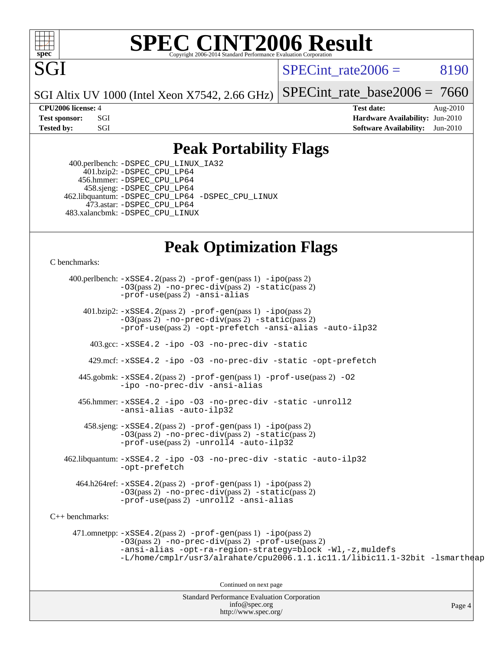

#### **[SPEC CINT2006 Result](http://www.spec.org/auto/cpu2006/Docs/result-fields.html#SPECCINT2006Result)** Copyright 2006-2014 Standard Performance Evaluation C

SPECint rate $2006 = 8190$ 

SGI Altix UV 1000 (Intel Xeon X7542, 2.66 GHz)

 $SPECint_rate_base2006 = 7660$  $SPECint_rate_base2006 = 7660$ 

**[CPU2006 license:](http://www.spec.org/auto/cpu2006/Docs/result-fields.html#CPU2006license)** 4 **[Test date:](http://www.spec.org/auto/cpu2006/Docs/result-fields.html#Testdate)** Aug-2010 **[Test sponsor:](http://www.spec.org/auto/cpu2006/Docs/result-fields.html#Testsponsor)** SGI **[Hardware Availability:](http://www.spec.org/auto/cpu2006/Docs/result-fields.html#HardwareAvailability)** Jun-2010 **[Tested by:](http://www.spec.org/auto/cpu2006/Docs/result-fields.html#Testedby)** SGI SOFTWARE Availability: Jun-2010

### **[Peak Portability Flags](http://www.spec.org/auto/cpu2006/Docs/result-fields.html#PeakPortabilityFlags)**

 400.perlbench: [-DSPEC\\_CPU\\_LINUX\\_IA32](http://www.spec.org/cpu2006/results/res2010q3/cpu2006-20100815-12918.flags.html#b400.perlbench_peakCPORTABILITY_DSPEC_CPU_LINUX_IA32) 401.bzip2: [-DSPEC\\_CPU\\_LP64](http://www.spec.org/cpu2006/results/res2010q3/cpu2006-20100815-12918.flags.html#suite_peakCPORTABILITY401_bzip2_DSPEC_CPU_LP64) 456.hmmer: [-DSPEC\\_CPU\\_LP64](http://www.spec.org/cpu2006/results/res2010q3/cpu2006-20100815-12918.flags.html#suite_peakCPORTABILITY456_hmmer_DSPEC_CPU_LP64) 458.sjeng: [-DSPEC\\_CPU\\_LP64](http://www.spec.org/cpu2006/results/res2010q3/cpu2006-20100815-12918.flags.html#suite_peakCPORTABILITY458_sjeng_DSPEC_CPU_LP64) 462.libquantum: [-DSPEC\\_CPU\\_LP64](http://www.spec.org/cpu2006/results/res2010q3/cpu2006-20100815-12918.flags.html#suite_peakCPORTABILITY462_libquantum_DSPEC_CPU_LP64) [-DSPEC\\_CPU\\_LINUX](http://www.spec.org/cpu2006/results/res2010q3/cpu2006-20100815-12918.flags.html#b462.libquantum_peakCPORTABILITY_DSPEC_CPU_LINUX) 473.astar: [-DSPEC\\_CPU\\_LP64](http://www.spec.org/cpu2006/results/res2010q3/cpu2006-20100815-12918.flags.html#suite_peakCXXPORTABILITY473_astar_DSPEC_CPU_LP64) 483.xalancbmk: [-DSPEC\\_CPU\\_LINUX](http://www.spec.org/cpu2006/results/res2010q3/cpu2006-20100815-12918.flags.html#b483.xalancbmk_peakCXXPORTABILITY_DSPEC_CPU_LINUX)

# **[Peak Optimization Flags](http://www.spec.org/auto/cpu2006/Docs/result-fields.html#PeakOptimizationFlags)**

[C benchmarks](http://www.spec.org/auto/cpu2006/Docs/result-fields.html#Cbenchmarks):

Standard Performance Evaluation Corporation 400.perlbench: [-xSSE4.2](http://www.spec.org/cpu2006/results/res2010q3/cpu2006-20100815-12918.flags.html#user_peakPASS2_CFLAGSPASS2_LDCFLAGS400_perlbench_f-xSSE42_f91528193cf0b216347adb8b939d4107)(pass 2) [-prof-gen](http://www.spec.org/cpu2006/results/res2010q3/cpu2006-20100815-12918.flags.html#user_peakPASS1_CFLAGSPASS1_LDCFLAGS400_perlbench_prof_gen_e43856698f6ca7b7e442dfd80e94a8fc)(pass 1) [-ipo](http://www.spec.org/cpu2006/results/res2010q3/cpu2006-20100815-12918.flags.html#user_peakPASS2_CFLAGSPASS2_LDCFLAGS400_perlbench_f-ipo)(pass 2) [-O3](http://www.spec.org/cpu2006/results/res2010q3/cpu2006-20100815-12918.flags.html#user_peakPASS2_CFLAGSPASS2_LDCFLAGS400_perlbench_f-O3)(pass 2) [-no-prec-div](http://www.spec.org/cpu2006/results/res2010q3/cpu2006-20100815-12918.flags.html#user_peakPASS2_CFLAGSPASS2_LDCFLAGS400_perlbench_f-no-prec-div)(pass 2) [-static](http://www.spec.org/cpu2006/results/res2010q3/cpu2006-20100815-12918.flags.html#user_peakPASS2_CFLAGSPASS2_LDCFLAGS400_perlbench_f-static)(pass 2) [-prof-use](http://www.spec.org/cpu2006/results/res2010q3/cpu2006-20100815-12918.flags.html#user_peakPASS2_CFLAGSPASS2_LDCFLAGS400_perlbench_prof_use_bccf7792157ff70d64e32fe3e1250b55)(pass 2) [-ansi-alias](http://www.spec.org/cpu2006/results/res2010q3/cpu2006-20100815-12918.flags.html#user_peakCOPTIMIZE400_perlbench_f-ansi-alias) 401.bzip2: [-xSSE4.2](http://www.spec.org/cpu2006/results/res2010q3/cpu2006-20100815-12918.flags.html#user_peakPASS2_CFLAGSPASS2_LDCFLAGS401_bzip2_f-xSSE42_f91528193cf0b216347adb8b939d4107)(pass 2) [-prof-gen](http://www.spec.org/cpu2006/results/res2010q3/cpu2006-20100815-12918.flags.html#user_peakPASS1_CFLAGSPASS1_LDCFLAGS401_bzip2_prof_gen_e43856698f6ca7b7e442dfd80e94a8fc)(pass 1) [-ipo](http://www.spec.org/cpu2006/results/res2010q3/cpu2006-20100815-12918.flags.html#user_peakPASS2_CFLAGSPASS2_LDCFLAGS401_bzip2_f-ipo)(pass 2) [-O3](http://www.spec.org/cpu2006/results/res2010q3/cpu2006-20100815-12918.flags.html#user_peakPASS2_CFLAGSPASS2_LDCFLAGS401_bzip2_f-O3)(pass 2) [-no-prec-div](http://www.spec.org/cpu2006/results/res2010q3/cpu2006-20100815-12918.flags.html#user_peakPASS2_CFLAGSPASS2_LDCFLAGS401_bzip2_f-no-prec-div)(pass 2) [-static](http://www.spec.org/cpu2006/results/res2010q3/cpu2006-20100815-12918.flags.html#user_peakPASS2_CFLAGSPASS2_LDCFLAGS401_bzip2_f-static)(pass 2) [-prof-use](http://www.spec.org/cpu2006/results/res2010q3/cpu2006-20100815-12918.flags.html#user_peakPASS2_CFLAGSPASS2_LDCFLAGS401_bzip2_prof_use_bccf7792157ff70d64e32fe3e1250b55)(pass 2) [-opt-prefetch](http://www.spec.org/cpu2006/results/res2010q3/cpu2006-20100815-12918.flags.html#user_peakCOPTIMIZE401_bzip2_f-opt-prefetch) [-ansi-alias](http://www.spec.org/cpu2006/results/res2010q3/cpu2006-20100815-12918.flags.html#user_peakCOPTIMIZE401_bzip2_f-ansi-alias) [-auto-ilp32](http://www.spec.org/cpu2006/results/res2010q3/cpu2006-20100815-12918.flags.html#user_peakCOPTIMIZE401_bzip2_f-auto-ilp32) 403.gcc: [-xSSE4.2](http://www.spec.org/cpu2006/results/res2010q3/cpu2006-20100815-12918.flags.html#user_peakCOPTIMIZE403_gcc_f-xSSE42_f91528193cf0b216347adb8b939d4107) [-ipo](http://www.spec.org/cpu2006/results/res2010q3/cpu2006-20100815-12918.flags.html#user_peakCOPTIMIZE403_gcc_f-ipo) [-O3](http://www.spec.org/cpu2006/results/res2010q3/cpu2006-20100815-12918.flags.html#user_peakCOPTIMIZE403_gcc_f-O3) [-no-prec-div](http://www.spec.org/cpu2006/results/res2010q3/cpu2006-20100815-12918.flags.html#user_peakCOPTIMIZE403_gcc_f-no-prec-div) [-static](http://www.spec.org/cpu2006/results/res2010q3/cpu2006-20100815-12918.flags.html#user_peakCOPTIMIZE403_gcc_f-static) 429.mcf: [-xSSE4.2](http://www.spec.org/cpu2006/results/res2010q3/cpu2006-20100815-12918.flags.html#user_peakCOPTIMIZE429_mcf_f-xSSE42_f91528193cf0b216347adb8b939d4107) [-ipo](http://www.spec.org/cpu2006/results/res2010q3/cpu2006-20100815-12918.flags.html#user_peakCOPTIMIZE429_mcf_f-ipo) [-O3](http://www.spec.org/cpu2006/results/res2010q3/cpu2006-20100815-12918.flags.html#user_peakCOPTIMIZE429_mcf_f-O3) [-no-prec-div](http://www.spec.org/cpu2006/results/res2010q3/cpu2006-20100815-12918.flags.html#user_peakCOPTIMIZE429_mcf_f-no-prec-div) [-static](http://www.spec.org/cpu2006/results/res2010q3/cpu2006-20100815-12918.flags.html#user_peakCOPTIMIZE429_mcf_f-static) [-opt-prefetch](http://www.spec.org/cpu2006/results/res2010q3/cpu2006-20100815-12918.flags.html#user_peakCOPTIMIZE429_mcf_f-opt-prefetch) 445.gobmk: [-xSSE4.2](http://www.spec.org/cpu2006/results/res2010q3/cpu2006-20100815-12918.flags.html#user_peakPASS2_CFLAGSPASS2_LDCFLAGS445_gobmk_f-xSSE42_f91528193cf0b216347adb8b939d4107)(pass 2) [-prof-gen](http://www.spec.org/cpu2006/results/res2010q3/cpu2006-20100815-12918.flags.html#user_peakPASS1_CFLAGSPASS1_LDCFLAGS445_gobmk_prof_gen_e43856698f6ca7b7e442dfd80e94a8fc)(pass 1) [-prof-use](http://www.spec.org/cpu2006/results/res2010q3/cpu2006-20100815-12918.flags.html#user_peakPASS2_CFLAGSPASS2_LDCFLAGS445_gobmk_prof_use_bccf7792157ff70d64e32fe3e1250b55)(pass 2) [-O2](http://www.spec.org/cpu2006/results/res2010q3/cpu2006-20100815-12918.flags.html#user_peakCOPTIMIZE445_gobmk_f-O2) [-ipo](http://www.spec.org/cpu2006/results/res2010q3/cpu2006-20100815-12918.flags.html#user_peakCOPTIMIZE445_gobmk_f-ipo) [-no-prec-div](http://www.spec.org/cpu2006/results/res2010q3/cpu2006-20100815-12918.flags.html#user_peakCOPTIMIZE445_gobmk_f-no-prec-div) [-ansi-alias](http://www.spec.org/cpu2006/results/res2010q3/cpu2006-20100815-12918.flags.html#user_peakCOPTIMIZE445_gobmk_f-ansi-alias) 456.hmmer: [-xSSE4.2](http://www.spec.org/cpu2006/results/res2010q3/cpu2006-20100815-12918.flags.html#user_peakCOPTIMIZE456_hmmer_f-xSSE42_f91528193cf0b216347adb8b939d4107) [-ipo](http://www.spec.org/cpu2006/results/res2010q3/cpu2006-20100815-12918.flags.html#user_peakCOPTIMIZE456_hmmer_f-ipo) [-O3](http://www.spec.org/cpu2006/results/res2010q3/cpu2006-20100815-12918.flags.html#user_peakCOPTIMIZE456_hmmer_f-O3) [-no-prec-div](http://www.spec.org/cpu2006/results/res2010q3/cpu2006-20100815-12918.flags.html#user_peakCOPTIMIZE456_hmmer_f-no-prec-div) [-static](http://www.spec.org/cpu2006/results/res2010q3/cpu2006-20100815-12918.flags.html#user_peakCOPTIMIZE456_hmmer_f-static) [-unroll2](http://www.spec.org/cpu2006/results/res2010q3/cpu2006-20100815-12918.flags.html#user_peakCOPTIMIZE456_hmmer_f-unroll_784dae83bebfb236979b41d2422d7ec2) [-ansi-alias](http://www.spec.org/cpu2006/results/res2010q3/cpu2006-20100815-12918.flags.html#user_peakCOPTIMIZE456_hmmer_f-ansi-alias) [-auto-ilp32](http://www.spec.org/cpu2006/results/res2010q3/cpu2006-20100815-12918.flags.html#user_peakCOPTIMIZE456_hmmer_f-auto-ilp32)  $458 \text{.}$  sjeng:  $-xSSE4$ .  $2(\text{pass 2})$  -prof-qen(pass 1) [-ipo](http://www.spec.org/cpu2006/results/res2010q3/cpu2006-20100815-12918.flags.html#user_peakPASS2_CFLAGSPASS2_LDCFLAGS458_sjeng_f-ipo)(pass 2) [-O3](http://www.spec.org/cpu2006/results/res2010q3/cpu2006-20100815-12918.flags.html#user_peakPASS2_CFLAGSPASS2_LDCFLAGS458_sjeng_f-O3)(pass 2) [-no-prec-div](http://www.spec.org/cpu2006/results/res2010q3/cpu2006-20100815-12918.flags.html#user_peakPASS2_CFLAGSPASS2_LDCFLAGS458_sjeng_f-no-prec-div)(pass 2) [-static](http://www.spec.org/cpu2006/results/res2010q3/cpu2006-20100815-12918.flags.html#user_peakPASS2_CFLAGSPASS2_LDCFLAGS458_sjeng_f-static)(pass 2) [-prof-use](http://www.spec.org/cpu2006/results/res2010q3/cpu2006-20100815-12918.flags.html#user_peakPASS2_CFLAGSPASS2_LDCFLAGS458_sjeng_prof_use_bccf7792157ff70d64e32fe3e1250b55)(pass 2) [-unroll4](http://www.spec.org/cpu2006/results/res2010q3/cpu2006-20100815-12918.flags.html#user_peakCOPTIMIZE458_sjeng_f-unroll_4e5e4ed65b7fd20bdcd365bec371b81f) [-auto-ilp32](http://www.spec.org/cpu2006/results/res2010q3/cpu2006-20100815-12918.flags.html#user_peakCOPTIMIZE458_sjeng_f-auto-ilp32) 462.libquantum: [-xSSE4.2](http://www.spec.org/cpu2006/results/res2010q3/cpu2006-20100815-12918.flags.html#user_peakCOPTIMIZE462_libquantum_f-xSSE42_f91528193cf0b216347adb8b939d4107) [-ipo](http://www.spec.org/cpu2006/results/res2010q3/cpu2006-20100815-12918.flags.html#user_peakCOPTIMIZE462_libquantum_f-ipo) [-O3](http://www.spec.org/cpu2006/results/res2010q3/cpu2006-20100815-12918.flags.html#user_peakCOPTIMIZE462_libquantum_f-O3) [-no-prec-div](http://www.spec.org/cpu2006/results/res2010q3/cpu2006-20100815-12918.flags.html#user_peakCOPTIMIZE462_libquantum_f-no-prec-div) [-static](http://www.spec.org/cpu2006/results/res2010q3/cpu2006-20100815-12918.flags.html#user_peakCOPTIMIZE462_libquantum_f-static) [-auto-ilp32](http://www.spec.org/cpu2006/results/res2010q3/cpu2006-20100815-12918.flags.html#user_peakCOPTIMIZE462_libquantum_f-auto-ilp32) [-opt-prefetch](http://www.spec.org/cpu2006/results/res2010q3/cpu2006-20100815-12918.flags.html#user_peakCOPTIMIZE462_libquantum_f-opt-prefetch) 464.h264ref: [-xSSE4.2](http://www.spec.org/cpu2006/results/res2010q3/cpu2006-20100815-12918.flags.html#user_peakPASS2_CFLAGSPASS2_LDCFLAGS464_h264ref_f-xSSE42_f91528193cf0b216347adb8b939d4107)(pass 2) [-prof-gen](http://www.spec.org/cpu2006/results/res2010q3/cpu2006-20100815-12918.flags.html#user_peakPASS1_CFLAGSPASS1_LDCFLAGS464_h264ref_prof_gen_e43856698f6ca7b7e442dfd80e94a8fc)(pass 1) [-ipo](http://www.spec.org/cpu2006/results/res2010q3/cpu2006-20100815-12918.flags.html#user_peakPASS2_CFLAGSPASS2_LDCFLAGS464_h264ref_f-ipo)(pass 2) [-O3](http://www.spec.org/cpu2006/results/res2010q3/cpu2006-20100815-12918.flags.html#user_peakPASS2_CFLAGSPASS2_LDCFLAGS464_h264ref_f-O3)(pass 2) [-no-prec-div](http://www.spec.org/cpu2006/results/res2010q3/cpu2006-20100815-12918.flags.html#user_peakPASS2_CFLAGSPASS2_LDCFLAGS464_h264ref_f-no-prec-div)(pass 2) [-static](http://www.spec.org/cpu2006/results/res2010q3/cpu2006-20100815-12918.flags.html#user_peakPASS2_CFLAGSPASS2_LDCFLAGS464_h264ref_f-static)(pass 2) [-prof-use](http://www.spec.org/cpu2006/results/res2010q3/cpu2006-20100815-12918.flags.html#user_peakPASS2_CFLAGSPASS2_LDCFLAGS464_h264ref_prof_use_bccf7792157ff70d64e32fe3e1250b55)(pass 2) [-unroll2](http://www.spec.org/cpu2006/results/res2010q3/cpu2006-20100815-12918.flags.html#user_peakCOPTIMIZE464_h264ref_f-unroll_784dae83bebfb236979b41d2422d7ec2) [-ansi-alias](http://www.spec.org/cpu2006/results/res2010q3/cpu2006-20100815-12918.flags.html#user_peakCOPTIMIZE464_h264ref_f-ansi-alias) [C++ benchmarks:](http://www.spec.org/auto/cpu2006/Docs/result-fields.html#CXXbenchmarks) 471.omnetpp: [-xSSE4.2](http://www.spec.org/cpu2006/results/res2010q3/cpu2006-20100815-12918.flags.html#user_peakPASS2_CXXFLAGSPASS2_LDCXXFLAGS471_omnetpp_f-xSSE42_f91528193cf0b216347adb8b939d4107)(pass 2) [-prof-gen](http://www.spec.org/cpu2006/results/res2010q3/cpu2006-20100815-12918.flags.html#user_peakPASS1_CXXFLAGSPASS1_LDCXXFLAGS471_omnetpp_prof_gen_e43856698f6ca7b7e442dfd80e94a8fc)(pass 1) [-ipo](http://www.spec.org/cpu2006/results/res2010q3/cpu2006-20100815-12918.flags.html#user_peakPASS2_CXXFLAGSPASS2_LDCXXFLAGS471_omnetpp_f-ipo)(pass 2) [-O3](http://www.spec.org/cpu2006/results/res2010q3/cpu2006-20100815-12918.flags.html#user_peakPASS2_CXXFLAGSPASS2_LDCXXFLAGS471_omnetpp_f-O3)(pass 2) [-no-prec-div](http://www.spec.org/cpu2006/results/res2010q3/cpu2006-20100815-12918.flags.html#user_peakPASS2_CXXFLAGSPASS2_LDCXXFLAGS471_omnetpp_f-no-prec-div)(pass 2) [-prof-use](http://www.spec.org/cpu2006/results/res2010q3/cpu2006-20100815-12918.flags.html#user_peakPASS2_CXXFLAGSPASS2_LDCXXFLAGS471_omnetpp_prof_use_bccf7792157ff70d64e32fe3e1250b55)(pass 2) [-ansi-alias](http://www.spec.org/cpu2006/results/res2010q3/cpu2006-20100815-12918.flags.html#user_peakCXXOPTIMIZE471_omnetpp_f-ansi-alias) [-opt-ra-region-strategy=block](http://www.spec.org/cpu2006/results/res2010q3/cpu2006-20100815-12918.flags.html#user_peakCXXOPTIMIZE471_omnetpp_f-opt-ra-region-strategy-block_a0a37c372d03933b2a18d4af463c1f69) [-Wl,-z,muldefs](http://www.spec.org/cpu2006/results/res2010q3/cpu2006-20100815-12918.flags.html#user_peakEXTRA_LDFLAGS471_omnetpp_link_force_multiple1_74079c344b956b9658436fd1b6dd3a8a) [-L/home/cmplr/usr3/alrahate/cpu2006.1.1.ic11.1/libic11.1-32bit -lsmartheap](http://www.spec.org/cpu2006/results/res2010q3/cpu2006-20100815-12918.flags.html#user_peakEXTRA_LIBS471_omnetpp_SmartHeap_d86dffe4a79b79ef8890d5cce17030c3) Continued on next page